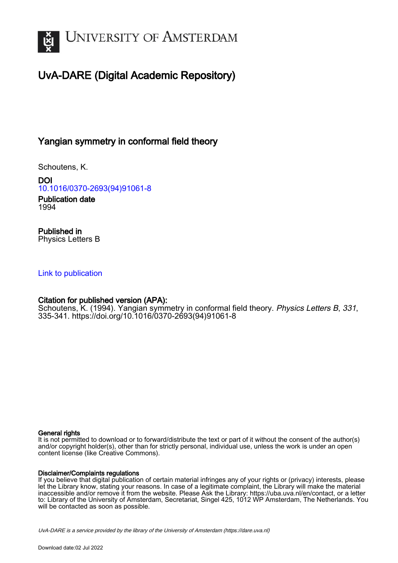

# UvA-DARE (Digital Academic Repository)

## Yangian symmetry in conformal field theory

Schoutens, K.

DOI [10.1016/0370-2693\(94\)91061-8](https://doi.org/10.1016/0370-2693(94)91061-8)

Publication date 1994

Published in Physics Letters B

### [Link to publication](https://dare.uva.nl/personal/pure/en/publications/yangian-symmetry-in-conformal-field-theory(a6b741b1-5442-40f8-b503-de16b82096bf).html)

### Citation for published version (APA):

Schoutens, K. (1994). Yangian symmetry in conformal field theory. Physics Letters B, 331, 335-341. [https://doi.org/10.1016/0370-2693\(94\)91061-8](https://doi.org/10.1016/0370-2693(94)91061-8)

#### General rights

It is not permitted to download or to forward/distribute the text or part of it without the consent of the author(s) and/or copyright holder(s), other than for strictly personal, individual use, unless the work is under an open content license (like Creative Commons).

#### Disclaimer/Complaints regulations

If you believe that digital publication of certain material infringes any of your rights or (privacy) interests, please let the Library know, stating your reasons. In case of a legitimate complaint, the Library will make the material inaccessible and/or remove it from the website. Please Ask the Library: https://uba.uva.nl/en/contact, or a letter to: Library of the University of Amsterdam, Secretariat, Singel 425, 1012 WP Amsterdam, The Netherlands. You will be contacted as soon as possible.

UvA-DARE is a service provided by the library of the University of Amsterdam (http*s*://dare.uva.nl)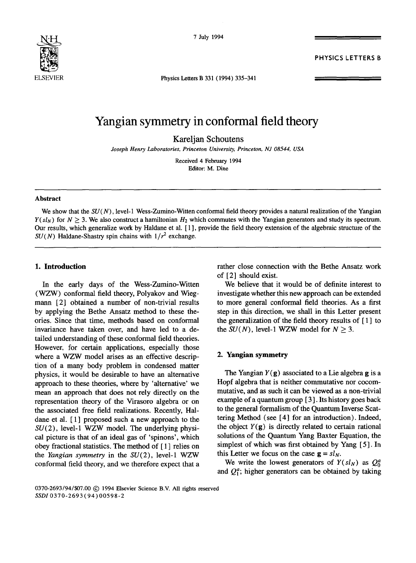

7 July 1994

PHYSICS LETTERS B

Physics Letters B 331 (1994) 335-341

## **Yangian symmetry in conformal field theory**

Kareljan Schoutens

*Joseph Henry Laboratories, Princeton University, Princeton, NJ 08544, USA* 

Received 4 February 1994 Editor: M. Dine

#### **Abstract**

We show that the *SU(N)*, level-1 Wess-Zumino-Witten conformal field theory provides a natural realization of the Yangian  $Y(sl_N)$  for  $N > 3$ . We also construct a hamiltonian  $H_2$  which commutes with the Yangian generators and study its spectrum. Our results, which generalize work by Haldane et al. [ 1 ], provide the field theory extension of the algebraic structure of the  $SU(N)$  Haldane-Shastry spin chains with  $1/r^2$  exchange.

#### **1. Introduction**

In the early days of the Wess-Zumino-Witten (WZW) conformal field theory, Polyakov and Wiegmann [2] obtained a number of non-trivial results by applying the Bethe Ansatz method to these theories. Since that time, methods based on conformal invariance have taken over, and have led to a detailed understanding of these conformal field theories. However, for certain applications, especially those where a WZW model arises as an effective description of a many body problem in condensed matter physics, it would be desirable to have an alternative approach to these theories, where by 'alternative' we mean an approach that does not rely directly on the representation theory of the Virasoro algebra or on the associated free field realizations. Recently, Haldane et al.  $[1]$  proposed such a new approach to the  $SU(2)$ , level-1 WZW model. The underlying physical picture is that of an ideal gas of 'spinons', which obey fractional statistics. The method of [ 1 ] relies on the *Yangian symmetry* in the SU(2), level-1 WZW conformal field theory, and we therefore expect that a rather close connection with the Bethe Ansatz work of [2] should exist.

We believe that it would be of definite interest to investigate whether this new approach can be extended to more general conformal field theories. As a first step in this direction, we shall in this Letter present the generalization of the field theory results of [ 1 ] to the  $SU(N)$ , level-1 WZW model for  $N \geq 3$ .

#### **2. Yangian symmetry**

The Yangian  $Y(g)$  associated to a Lie algebra g is a Hopf algebra that is neither commutative nor cocommutative, and as such it can be viewed as a non-trivial example of a quantum group [ 3]. Its history goes back to the general formalism of the Quantum Inverse Scattering Method (see [4] for an introduction). Indeed, the object  $Y(g)$  is directly related to certain rational solutions of the Quantum Yang Baxter Equation, the simplest of which was first obtained by Yang [ 5 ]. In this Letter we focus on the case  $g = s l_N$ .

We write the lowest generators of  $Y(sl_N)$  as  $Q_0^a$ and  $Q_1^a$ ; higher generators can be obtained by taking

#### 0370-2693/94/\$07.00 (c) 1994 Elsevier Science B.V. All rights reserved *SSDI0370-2693(94)00598-2*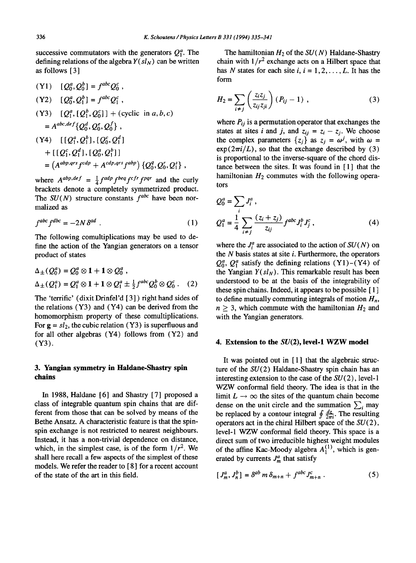successive commutators with the generators  $Q_1^a$ . The defining relations of the algebra  $Y(sl_N)$  can be written as follows [ 3 ]

 $(Y1)$   $[Q_0^a, Q_0^b] = f^{abc}Q_0^c$ ,  $(Y2)$   $[Q_0^a, Q_1^b] = f^{abc} Q_1^c$ , (Y3)  $[Q_1^a, [Q_1^b, Q_0^c]] + (cyclic \text{ in } a, b, c)$  $= A^{abc,def} \{Q_0^d, Q_0^e, Q_0^f\}$ ,  $(Y4)$   $[I[Q_1^a, Q_1^b], [Q_0^c, Q_1^d]$  $+ [[Q_1^c, Q_1^d], [Q_0^a, Q_1^b]]$  $= (A^{abp,qrs} f^{cdp} + A^{cdp,qrs} f^{abp}) \{Q_0^q, Q_0^r, Q_1^s\},$ 

where  $A^{abp,def} = \frac{1}{4} f^{adp} f^{beq} f^{cfr} f^{pqr}$  and the curly brackets denote a completely symmetrized product. The  $SU(N)$  structure constants  $f^{abc}$  have been normalized as

$$
f^{abc} f^{dbc} = -2N \delta^{ad} . \qquad (1)
$$

The following comultiplications may be used to define the action of the Yangian generators on a tensor product of states

$$
\Delta_{\pm}(Q_0^a) = Q_0^a \otimes 1 + 1 \otimes Q_0^a ,
$$
  
\n
$$
\Delta_{\pm}(Q_1^a) = Q_1^a \otimes 1 + 1 \otimes Q_1^a \pm \frac{1}{2} f^{abc} Q_0^b \otimes Q_0^c .
$$
 (2)

The 'terrific' (dixit Drinfel'd [3] ) right hand sides of the relations (Y3) and (Y4) can be derived from the homomorphism property of these comultiplications. For  $g = sl_2$ , the cubic relation (Y3) is superfluous and for all other algebras (Y4) follows from (Y2) and (Y3).

#### **3. Yangian symmetry in Haldane-Shastry spin chains**

In 1988, Haldane [6] and Shastry [7] proposed a class of integrable quantum spin chains that are different from those that can be solved by means of the Bethe Ansatz. A characteristic feature is that the spinspin exchange is not restricted to nearest neighbours. Instead, it has a non-trivial dependence on distance, which, in the simplest case, is of the form  $1/r^2$ . We shall here recall a few aspects of the simplest of these models. We refer the reader to [8] for a recent account of the state of the art in this field.

The hamiltonian  $H_2$  of the  $SU(N)$  Haldane-Shastry chain with  $1/r^2$  exchange acts on a Hilbert space that has N states for each site  $i, i = 1, 2, \ldots, L$ . It has the form

$$
H_2 = \sum_{i \neq j} \left( \frac{z_i z_j}{z_{ij} z_{ji}} \right) (P_{ij} - 1) , \qquad (3)
$$

where  $P_{ij}$  is a permutation operator that exchanges the states at sites *i* and *j*, and  $z_{ij} = z_i - z_j$ . We choose the complex parameters  $\{z_i\}$  as  $z_i = \omega^j$ , with  $\omega =$  $\exp(2\pi i/L)$ , so that the exchange described by (3) is proportional to the inverse-square of the chord distance between the sites. It was found in  $[1]$  that the hamiltonian  $H_2$  commutes with the following operators

$$
Q_0^a = \sum_i J_i^a,
$$
  
\n
$$
Q_1^a = \frac{1}{4} \sum_{i \neq j} \frac{(z_i + z_j)}{z_{ij}} f^{abc} J_i^b J_j^c,
$$
\n(4)

where the  $J_i^a$  are associated to the action of  $SU(N)$  on the  $N$  basis states at site  $i$ . Furthermore, the operators  $Q_0^a$ ,  $Q_1^a$  satisfy the defining relations (Y1)–(Y4) of the Yangian  $Y(sl_N)$ . This remarkable result has been understood to be at the basis of the integrability of these spin chains. Indeed, it appears to be possible [ 1 ] to define mutually commuting integrals of motion  $H_n$ ,  $n \geq 3$ , which commute with the hamiltonian  $H_2$  and with the Yangian generators.

#### **4. Extension to the SU(2), level-1 WZW model**

It was pointed out in  $[1]$  that the algebraic structure of the  $SU(2)$  Haldane-Shastry spin chain has an interesting extension to the case of the  $SU(2)$ , level-1 WZW conformal field theory. The idea is that in the limit  $L \rightarrow \infty$  the sites of the quantum chain become dense on the unit circle and the summation  $\sum_i$  may be replaced by a contour integral  $\oint \frac{dz}{2\pi i}$ . The resulting operators act in the chiral Hilbert space of the  $SU(2)$ , level-1 WZW conformal field theory. This space is a direct sum of two irreducible highest weight modules of the affine Kac-Moody algebra  $A_1^{(1)}$ , which is generated by currents  $J_m^a$  that satisfy

$$
[J_m^a, J_n^b] = \delta^{ab} m \delta_{m+n} + f^{abc} J_{m+n}^c \tag{5}
$$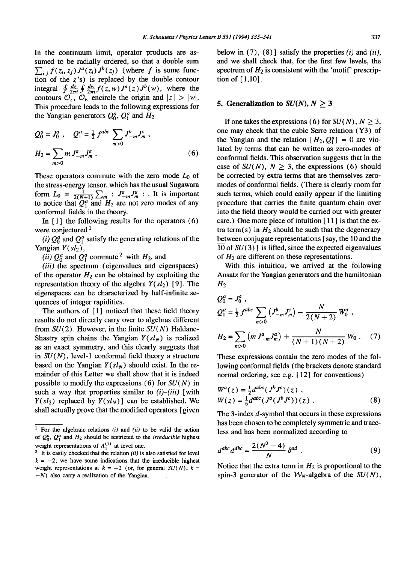In the continuum limit, operator products are assumed to be radially ordered, so that a double sum  $\sum_{i,j} f(z_i, z_j) J^a(z_i) J^b(z_j)$  (where f is some function of the  $z$ 's) is replaced by the double contour integral  $\oint \frac{dz}{2\pi i} \oint \frac{dw}{2\pi i} f(z, w) J^a(z) J^b(w)$ , where the contours  $\mathcal{O}_z$ ,  $\mathcal{O}_w$  encircle the origin and  $|z| > |w|$ .

This procedure leads to the following expressions for the Yangian generators  $Q_0^a$ ,  $Q_1^a$  and  $H_2$ 

$$
Q_0^a = J_0^a , \quad Q_1^a = \frac{1}{2} f^{abc} \sum_{m>0} J_{-m}^b J_m^c ,
$$
  

$$
H_2 = \sum_{m>0} m J_{-m}^a J_m^a .
$$
 (6)

These operators commute with the zero mode  $L_0$  of the stress-energy tensor, which has the usual Sugawara form  $L_0 = \frac{1}{2(N+1)} \sum_m : J_{-m}^a J_m^a :$ . It is important to notice that  $Q_1^a$  and  $H_2$  are not zero modes of any conformal fields in the theory.

In  $[1]$  the following results for the operators  $(6)$ were conjectured<sup>1</sup>

*(i)*  $Q_0^a$  and  $Q_1^a$  satisfy the generating relations of the Yangian  $Y(sl<sub>2</sub>)$ ,

*(ii)*  $Q_0^a$  and  $Q_1^a$  commute <sup>2</sup> with  $H_2$ , and

*(iii)* the spectrum (eigenvalues and eigenspaces) of the operator  $H_2$  can be obtained by exploiting the representation theory of the algebra  $Y(sl_2)$  [9]. The eigenspaces can be characterized by half-infinite sequences of integer rapidities.

The authors of  $[1]$  noticed that these field theory results do not directly carry over to algebras different from SU(2). However, in the finite *SU(N)* Haldane-Shastry spin chains the Yangian  $Y(sl<sub>N</sub>)$  is realized as an exact symmetry, and this clearly suggests that in *SU(N),* level-1 conformal field theory a structure based on the Yangian  $Y(sl_N)$  should exist. In the remainder of this Letter we shall show that it is indeed possible to modify the expressions (6) for *SU(N)* in such a way that properties similar to *(i)-(iii)* [with  $Y(sl_2)$  replaced by  $Y(sl_N)$ ] can be established. We shall actually prove that the modified operators [ given

below in (7), (8)] satisfy the properties *(i) and (ii),*  and we shall check that, for the first few levels, the spectrum of  $H_2$  is consistent with the 'motif' prescription of [ 1,10].

#### **5. Generalization to**  $SU(N)$ ,  $N > 3$

If one takes the expressions (6) for  $SU(N)$ ,  $N \geq 3$ , one may check that the cubic Serre relation (Y3) of the Yangian and the relation  $[H_2, Q_1^a] = 0$  are violated by terms that can be written as zero-modes of conformal fields. This observation suggests that in the case of  $SU(N)$ ,  $N > 3$ , the expressions (6) should be corrected by extra terms that are themselves zeromodes of conformal fields. (There is clearly room for such terms, which could easily appear if the limiting procedure that carries the finite quantum chain over into the field theory would be carried out with greater care.) One more piece of intuition [11] is that the extra term(s) in  $H_2$  should be such that the degeneracy between conjugate representations [ say, the 10 and the  $\overline{10}$  of  $SU(3)$  ] is lifted, since the expected eigenvalues of  $H_2$  are different on these representations.

With this intuition, we arrived at the following Ansatz for the Yangian generators and the hamiltonian  $H<sub>2</sub>$ 

$$
Q_0^a = J_0^a,
$$
  
\n
$$
Q_1^a = \frac{1}{2} f^{abc} \sum_{m>0} (J_{-m}^b J_m^c) - \frac{N}{2(N+2)} W_0^a,
$$
  
\n
$$
H_2 = \sum_{m>0} (m J_{-m}^a J_m^a) + \frac{N}{(N+1)(N+2)} W_0.
$$
 (7)

These expressions contain the zero modes of the following conformal fields (the brackets denote standard normal ordering, see e.g. [ 12] for conventions)

$$
W^{a}(z) = \frac{1}{2}d^{abc}(J^{b}J^{c})(z),W(z) = \frac{1}{6}d^{abc}(J^{a}(J^{b}J^{c}))(z).
$$
 (8)

The 3-index d-symbol that occurs in these expressions has been chosen to be completely symmetric and traceless and has been normalized according to

$$
d^{abc}d^{dbc} = \frac{2(N^2-4)}{N}\delta^{ad}.
$$
 (9)

Notice that the extra term in  $H_2$  is proportional to the spin-3 generator of the  $W_N$ -algebra of the  $SU(N)$ ,

<sup>&</sup>lt;sup>1</sup> For the algebraic relations  $(i)$  and  $(ii)$  to be valid the action of  $Q_0^a$ ,  $Q_1^a$  and  $H_2$  should be restricted to the *irreducible* highest weight representations of  $A_1^{(1)}$  at level one.

<sup>2</sup> It is easily checked that the relation *(ii)* is also satisfied for level  $k = -2$ ; we have some indications that the irreducible highest weight representations at  $k = -2$  (or, for general *SU(N)*,  $k =$  $-N$ ) also carry a realization of the Yangian.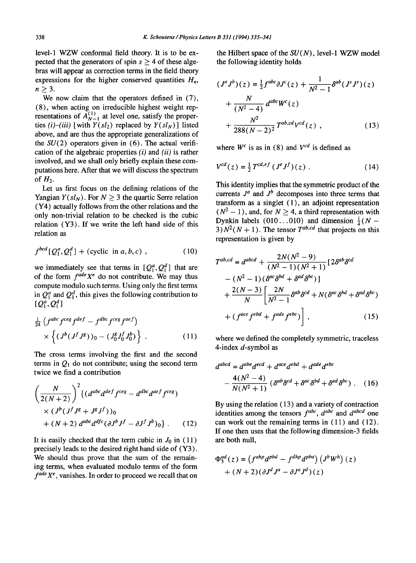level-1 WZW conformal field theory. It is to be expected that the generators of spin  $s \geq 4$  of these algebras will appear as correction terms in the field theory expressions for the higher conserved quantities  $H_n$ ,  $n>3$ .

We now claim that the operators defined in  $(7)$ , (8), when acting on irreducible highest weight representations of  $A_{N-1}^{(1)}$  at level one, satisfy the properties  $(i)$ - $(iii)$  [with  $Y(sl_2)$  replaced by  $Y(sl_N)$ ] listed above, and are thus the appropriate generalizations of the  $SU(2)$  operators given in (6). The actual verification of the algebraic properties *(i)* and *(ii)* is rather involved, and we shall only briefly explain these computations here. After that we will discuss the spectrum of  $H_2$ .

Let us first focus on the defining relations of the Yangian  $Y(sl_N)$ . For  $N \geq 3$  the quartic Serre relation (Y4) actually follows from the other relations and the only non-trivial relation to be checked is the cubic relation (Y3). If we write the left hand side of this relation as

$$
f^{bcd}[Q_1^a, Q_1^d] + (\text{cyclic in } a, b, c) , \qquad (10)
$$

we immediately see that terms in  $[Q_1^a, Q_1^d]$  that are of the form  $f^{ade}X^e$  do not contribute. We may thus compute modulo such terms. Using only the first terms in  $Q_1^d$  and  $Q_1^d$ , this gives the following contribution to  $[Q_1^a, Q_1^d]$ 

$$
\frac{1}{24} \left( f^{abc} f^{ceg} f^{def} - f^{dbc} f^{ceg} f^{aef} \right) \times \left\{ \left( J^b (J^f J^g) \right)_0 - \left( J_0^g J_0^f J_0^b \right) \right\} . \tag{11}
$$

The cross terms involving the first and the second terms in  $Q_1$  do not contribute; using the second term twice we find a contribution

$$
\left(\frac{N}{2(N+2)}\right)^2 \{(d^{abc}d^{def}f^{ceg} - d^{dbc}d^{aef}f^{ceg})
$$
  
×  $(J^b(J^fJ^g + J^gJ^f))_0$   
+  $(N+2) d^{abc}d^{dfc}(\partial J^bJ^f - \partial J^fJ^b)_0\}$ . (12)

It is easily checked that the term cubic in  $J_0$  in (11) precisely leads to the desired right hand side of (Y3). We should thus prove that the sum of the remaining terms, when evaluated modulo terms of the form  $f^{ade}X^e$ , vanishes. In order to proceed we recall that on the Hilbert space of the *SU(N),* level-1 WZW model the following identity holds

$$
(J^{a}J^{b})(z) = \frac{1}{2}f^{abc}\partial J^{c}(z) + \frac{1}{N^{2}-1}\delta^{ab}(J^{s}J^{s})(z) + \frac{N}{(N^{2}-4)}d^{abc}W^{c}(z) + \frac{N^{2}}{288(N-2)^{2}}T^{ab,cd}V^{cd}(z) ,
$$
 (13)

where  $W^c$  is as in (8) and  $V^{cd}$  is defined as

$$
V^{cd}(z) = \frac{1}{2} T^{cd,ef} (J^e J^f)(z) . \tag{14}
$$

This identity implies that the symmetric product of the currents  $J^a$  and  $J^b$  decomposes into three terms that transform as a singlet (1), an adjoint representation  $(N<sup>2</sup> - 1)$ , and, for  $N > 4$ , a third representation with Dynkin labels (010...010) and dimension  $\frac{1}{4}(N 3) N<sup>2</sup>(N + 1)$ . The tensor  $T<sup>ab,cd</sup>$  that projects on this representation is given by

$$
T^{ab,cd} = d^{abcd} + \frac{2N(N^2 - 9)}{(N^2 - 1)(N^2 + 1)} [2\delta^{ab}\delta^{cd}
$$
  
–  $(N^2 - 1)(\delta^{ac}\delta^{bd} + \delta^{ad}\delta^{bc})]$   
+  $\frac{2(N - 3)}{N} \left[ \frac{2N}{N^2 - 1} \delta^{ab}\delta^{cd} + N(\delta^{ac}\delta^{bd} + \delta^{ad}\delta^{bc}) + (f^{ace}f^{ebd} + f^{ade}f^{ebc}) \right],$  (15)

where we defined the completely symmetric, traceless 4-index  $d$ -symbol as

$$
d^{abcd} = d^{abe}d^{ecd} + d^{ace}d^{ebd} + d^{ade}d^{ebc}
$$

$$
-\frac{4(N^2-4)}{N(N^2+1)}(\delta^{ab}\delta^{cd} + \delta^{ac}\delta^{bd} + \delta^{ad}\delta^{bc}) . \quad (16)
$$

By using the relation (13) and a variety of contraction identities among the tensors  $f^{abc}$ ,  $d^{abc}$  and  $d^{abcd}$  one can work out the remaining terms in (11) and (12). If one then uses that the following dimension-3 fields are both null,

$$
\Phi_3^{ad}(z) = \left(f^{ahp}d^{pbd} - f^{dhp}d^{pba}\right)\left(J^bW^h\right)(z) + (N+2)\left(\partial J^dJ^a - \partial J^aJ^d\right)(z)
$$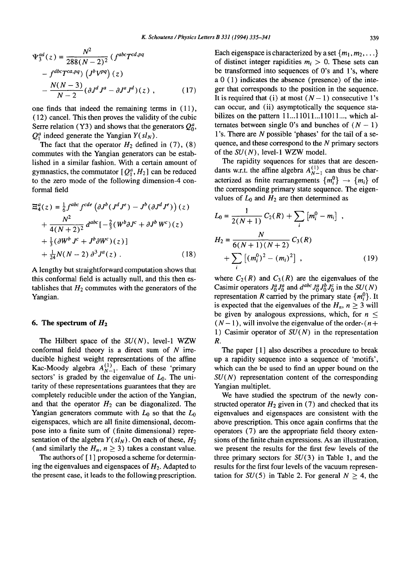$$
\Psi_3^{ad}(z) = \frac{N^2}{288(N-2)^2} \left( f^{abc} T^{cd,pq} - f^{dbc} T^{ca,pq} \right) \left( J^b V^{pq} \right) (z) - \frac{N(N-3)}{N-2} (\partial J^d J^a - \partial J^a J^d)(z) ,
$$
 (17)

one finds that indeed the remaining terms in (11), (12) cancel. This then proves the validity of the cubic Serre relation (Y3) and shows that the generators  $Q_0^a$ ,  $Q_1^a$  indeed generate the Yangian  $Y(sl_N)$ .

The fact that the operator  $H_2$  defined in (7), (8) commutes with the Yangian generators can be established in a similar fashion. With a certain amount of gymnastics, the commutator  $[Q_1^a, H_2]$  can be reduced to the zero mode of the following dimension-4 conformal field

$$
\Xi_4^a(z) = \frac{1}{6} f^{abc} f^{cde} \left( \partial J^b (J^d J^e) - J^b (\partial J^d J^e) \right)(z)
$$
  
+ 
$$
\frac{N^2}{4(N+2)^2} d^{abc} \left[ -\frac{2}{3} (W^b \partial J^c + \partial J^b W^c)(z) \right]
$$
  
+ 
$$
\frac{1}{3} (\partial W^b J^c + J^b \partial W^c)(z)
$$
  
+ 
$$
\frac{1}{24} N(N-2) \partial^3 J^a(z) .
$$
 (18)

A lengthy but straightforward computation shows that this conformal field is actually null, and this then establishes that  $H_2$  commutes with the generators of the Yangian.

#### **6. The spectrum of H2**

The Hilbert space of the *SU(N),* level-1 WZW conformal field theory is a direct sum of  $N$  irreducible highest weight representations of the affine Kac-Moody algebra  $A_{N-1}^{(1)}$ . Each of these 'primary sectors' is graded by the eigenvalue of  $L_0$ . The unitarity of these representations guarantees that they are completely reducible under the action of the Yangian, and that the operator  $H_2$  can be diagonalized. The Yangian generators commute with  $L_0$  so that the  $L_0$ eigenspaces, which are all finite dimensional, decompose into a finite sum of (finite dimensional) representation of the algebra  $Y(sl_N)$ . On each of these,  $H_2$ (and similarly the  $H_n$ ,  $n \geq 3$ ) takes a constant value.

The authors of [ 1 ] proposed a scheme for determining the eigenvalues and eigenspaces of  $H_2$ . Adapted to the present case, it leads to the following prescription. Each eigenspace is characterized by a set  $\{m_1, m_2, \ldots\}$ of distinct integer rapidities  $m_i > 0$ . These sets can be transformed into sequences of 0's and 1's, where a  $0$  (1) indicates the absence (presence) of the integer that corresponds to the position in the sequence. It is required that (i) at most  $(N-1)$  consecutive l's can occur, and (ii) asymptotically the sequence stabilizes on the pattern  $11...11011...11011...$ , which alternates between single 0's and bunches of  $(N - 1)$ l's. There are N possible 'phases' for the tail of a sequence, and these correspond to the  $N$  primary sectors of the *SU(N),* level-1 WZW model.

The rapidity sequences for states that are descendants w.r.t. the affine algebra  $A_{N-1}^{(1)}$  can thus be characterized as finite rearrangements  $\{m_i^0\} \rightarrow \{m_i\}$  of the corresponding primary state sequence. The eigenvalues of  $L_0$  and  $H_2$  are then determined as

$$
L_0 = \frac{1}{2(N+1)} C_2(R) + \sum_i [m_i^0 - m_i],
$$
  
\n
$$
H_2 = \frac{N}{6(N+1)(N+2)} C_3(R) + \sum_i [(m_i^0)^2 - (m_i)^2],
$$
\n(19)

where  $C_2(R)$  and  $C_3(R)$  are the eigenvalues of the Casimir operators  $J_0^a J_0^a$  and  $d^{abc} J_0^a J_0^b J_0^c$  in the  $SU(N)$ representation R carried by the primary state  $\{m_i^0\}$ . It is expected that the eigenvalues of the  $H_n$ ,  $n > 3$  will be given by analogous expressions, which, for  $n \leq$  $(N-1)$ , will involve the eigenvalue of the order- $(n+1)$ 1) Casimir operator of  $SU(N)$  in the representation R.

The paper [1] also describes a procedure to break up a rapidity sequence into a sequence of 'motifs', which can the be used to find an upper bound on the *SU(N)* representation content of the corresponding Yangian multiplet.

We have studied the spectrum of the newly constructed operator  $H_2$  given in (7) and checked that its eigenvalues and eigenspaces are consistent with the above prescription. This once again confirms that the operators (7) are the appropriate field theory extensions of the finite chain expressions. As an illustration, we present the results for the first few levels of the three primary sectors for  $SU(3)$  in Table 1, and the results for the first four levels of the vacuum representation for  $SU(5)$  in Table 2. For general  $N \geq 4$ , the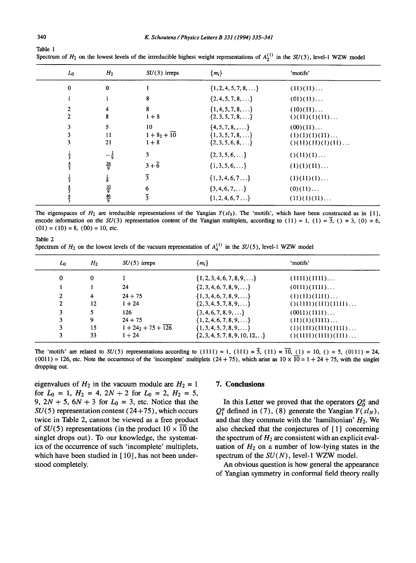| $L_0$                        | H <sub>2</sub>                   | $SU(3)$ irreps                 | ${m_i}$                                                                | 'motifs'                                                     |
|------------------------------|----------------------------------|--------------------------------|------------------------------------------------------------------------|--------------------------------------------------------------|
| $\mathbf 0$                  | $\bf{0}$                         |                                | $\{1, 2, 4, 5, 7, 8, \ldots\}$                                         | (11)(11)                                                     |
| 1                            |                                  | 8                              | $\{2,4,5,7,8,\}$                                                       | $(01)(11)$                                                   |
| $\mathbf{2}$<br>$\mathbf{2}$ | 4<br>8                           | 8<br>$1 + 8$                   | $\{1,4,5,7,8,\}$<br>$\{2,3,5,7,8,\}$                                   | (10)(11)<br>( ) (11)(1)(11)                                  |
| 3<br>3<br>3                  | 5<br>11<br>21                    | 10<br>$1 + 82 + 10$<br>$1 + 8$ | $\{4, 5, 7, 8, \ldots\}$<br>$\{1,3,5,7,8,\}$<br>$\{2,3,5,6,8,\ldots\}$ | (00)(11)<br>(1)(1)(1)(11)<br>$( ) (11) (11) (1) (11) \ldots$ |
|                              | $-\frac{1}{9}$<br>$\frac{26}{9}$ | 3<br>$3+\overline{6}$          | $\{2,3,5,6,\ldots\}$<br>$\{1, 3, 5, 6, \ldots\}$                       | $()$ (11)(1)<br>(1)(1)(11)                                   |
|                              | $\frac{1}{9}$                    | $\overline{3}$                 | $\{1, 3, 4, 6, 7 \ldots\}$                                             | (1)(11)(1)                                                   |
|                              | $\frac{10}{9}$<br>$\frac{46}{9}$ | 6<br>$\overline{3}$            | $\{3,4,6,7,\ldots\}$<br>$\{1, 2, 4, 6, 7 \ldots\}$                     | (0)(11)<br>(11)(1)(11)                                       |

Spectrum of  $H_2$  on the lowest levels of the irrreducible highest weight representations of  $A_2^{(1)}$  in the SU(3), level-1 WZW model

The eigenspaces of  $H_2$  are irreducible representations of the Yangian  $Y(sl_3)$ . The 'motifs', which have been constructed as in [1], encode information on the  $SU(3)$  representation content of the Yangian multiplets, according to  $(11) = 1$ ,  $(1) = \overline{3}$ ,  $(0) = 3$ ,  $(0) = 6$ ,  $(01) = (10) = 8$ ,  $(00) = 10$ , etc.

Table 2

Spectrum of  $H_2$  on the lowest levels of the vacuum representation of  $A_4^{(1)}$  in the SU(5), level-1 WZW model

| L <sub>0</sub> | H <sub>2</sub> | $SU(5)$ irreps      | $\{m_i\}$                                 | 'motifs'                         |
|----------------|----------------|---------------------|-------------------------------------------|----------------------------------|
| 0              | 0              |                     | $\{1, 2, 3, 4, 6, 7, 8, 9, \ldots\}$      | (1111)(1111)                     |
|                |                | 24                  | $\{2, 3, 4, 6, 7, 8, 9, \ldots\}$         | (0111)(1111)                     |
| $\mathbf{2}$   | 4              | $24 + 75$           | $\{1, 3, 4, 6, 7, 8, 9, \ldots\}$         | (1)(11)(1111)                    |
| 2              | 12             | $1 + 24$            | $\{2, 3, 4, 5, 7, 8, 9, \ldots\}$         | $( ) (1111) (111) (1111) \ldots$ |
| 3              |                | 126                 | $\{3, 4, 6, 7, 8, 9, \ldots\}$            | (0011)(1111)                     |
|                | 9              | $24 + 75$           | $\{1, 2, 4, 6, 7, 8, 9, \ldots\}$         | (11)(1)(1111)                    |
|                | 15             | $1 + 24 + 75 + 126$ | $\{1, 3, 4, 5, 7, 8, 9, \ldots\}$         | (1)(111)(111)(1111)              |
|                | 33             | $1 + 24$            | $\{2, 3, 4, 5, 7, 8, 9, 10, 12, \ldots\}$ | $( ) (1111) (1111) (111) \ldots$ |

The 'motifs' are related to  $SU(5)$  representations according to  $(1111) = 1$ ,  $(111) = \overline{5}$ ,  $(11) = \overline{10}$ ,  $(1) = 10$ ,  $( ) = 5$ ,  $(0111) = 24$ ,  $(0011) = 126$ , etc. Note the occurrence of the 'incomplete' multiplets  $(24 + 75)$ , which arise as  $10 \times \overline{10} = 1 + 24 + 75$ , with the singlet dropping out.

eigenvalues of  $H_2$  in the vacuum module are  $H_2 = 1$ for  $L_0 = 1$ ,  $H_2 = 4$ ,  $2N + 2$  for  $L_0 = 2$ ,  $H_2 = 5$ , 9,  $2N + 5$ ,  $6N + 3$  for  $L_0 = 3$ , etc. Notice that the  $SU(5)$  representation content (24+75), which occurs twice in Table 2, cannot be viewed as a free product of  $SU(5)$  representations (in the product  $10 \times \overline{10}$  the singlet drops out). To our knowledge, the systematics of the occurrence of such 'incomplete' multiplets, which have been studied in  $[10]$ , has not been understood completely.

#### **7. Conclusions**

In this Letter we proved that the operators  $Q_0^a$  and  $Q_1^a$  defined in (7), (8) generate the Yangian  $Y(sl_N)$ , and that they commute with the 'hamiltonian'  $H_2$ . We also checked that the conjectures of [1] concerning the spectrum of  $H_2$  are consistent with an explicit evaluation of  $H_2$  on a number of low-lying states in the spectrum of the *SU(N),* level-1 WZW model.

An obvious question is how general the appearance of Yangian symmetry in conformal field theory really